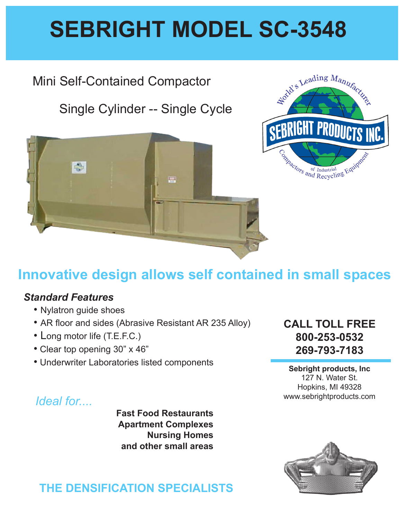# **SEBRIGHT MODEL SC-3548**

## Mini Self-Contained Compactor

# Single Cylinder -- Single Cycle





# **Innovative design allows self contained in small spaces**

#### *Standard Features*

- Nylatron guide shoes
- AR floor and sides (Abrasive Resistant AR 235 Alloy)
- Long motor life (T.E.F.C.)
- Clear top opening 30" x 46"
- Underwriter Laboratories listed components

#### **CALL TOLL FREE 800-253-0532 269-793-7183**

**Sebright products, Inc** 127 N. Water St. Hopkins, MI 49328 www.sebrightproducts.com

## *Ideal for....*

**Fast Food Restaurants Apartment Complexes Nursing Homes and other small areas**

### **THE DENSIFICATION SPECIALISTS**